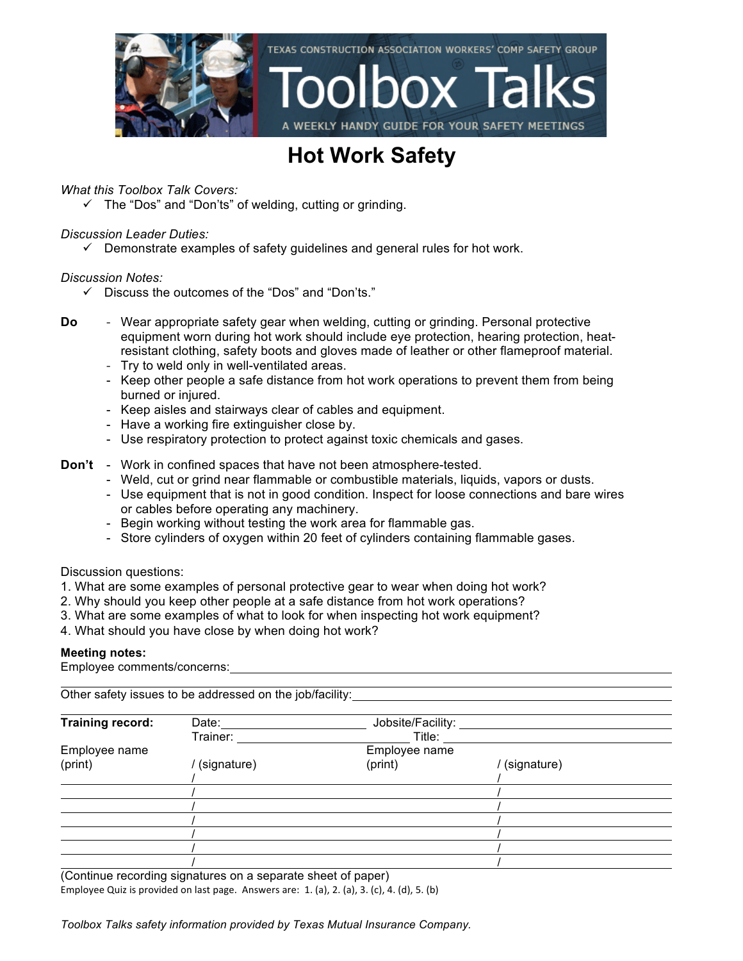

### **Hot Work Safety**

*What this Toolbox Talk Covers:*

 $\checkmark$  The "Dos" and "Don'ts" of welding, cutting or grinding.

### *Discussion Leader Duties:*

 $\checkmark$  Demonstrate examples of safety guidelines and general rules for hot work.

### *Discussion Notes:*

- $\checkmark$  Discuss the outcomes of the "Dos" and "Don'ts."
- **Do** Wear appropriate safety gear when welding, cutting or grinding. Personal protective equipment worn during hot work should include eye protection, hearing protection, heatresistant clothing, safety boots and gloves made of leather or other flameproof material.
	- Try to weld only in well-ventilated areas.
	- Keep other people a safe distance from hot work operations to prevent them from being burned or injured.
	- Keep aisles and stairways clear of cables and equipment.
	- Have a working fire extinguisher close by.
	- Use respiratory protection to protect against toxic chemicals and gases.
- **Don't** Work in confined spaces that have not been atmosphere-tested.
	- Weld, cut or grind near flammable or combustible materials, liquids, vapors or dusts.
	- Use equipment that is not in good condition. Inspect for loose connections and bare wires or cables before operating any machinery.
	- Begin working without testing the work area for flammable gas.
	- Store cylinders of oxygen within 20 feet of cylinders containing flammable gases.

### Discussion questions:

- 1. What are some examples of personal protective gear to wear when doing hot work?
- 2. Why should you keep other people at a safe distance from hot work operations?
- 3. What are some examples of what to look for when inspecting hot work equipment?
- 4. What should you have close by when doing hot work?

### **Meeting notes:**

Employee comments/concerns:

Other safety issues to be addressed on the job/facility:

| Training record: | Date:       | Jobsite/Facility: |             |  |
|------------------|-------------|-------------------|-------------|--|
|                  | Trainer:    | Title:            |             |  |
| Employee name    |             | Employee name     |             |  |
| (print)          | (signature) | (print)           | (signature) |  |
|                  |             |                   |             |  |
|                  |             |                   |             |  |
|                  |             |                   |             |  |
|                  |             |                   |             |  |
|                  |             |                   |             |  |
|                  |             |                   |             |  |
|                  |             |                   |             |  |

(Continue recording signatures on a separate sheet of paper) Employee Quiz is provided on last page. Answers are:  $1.$  (a),  $2.$  (a),  $3.$  (c),  $4.$  (d),  $5.$  (b)

*Toolbox Talks safety information provided by Texas Mutual Insurance Company.*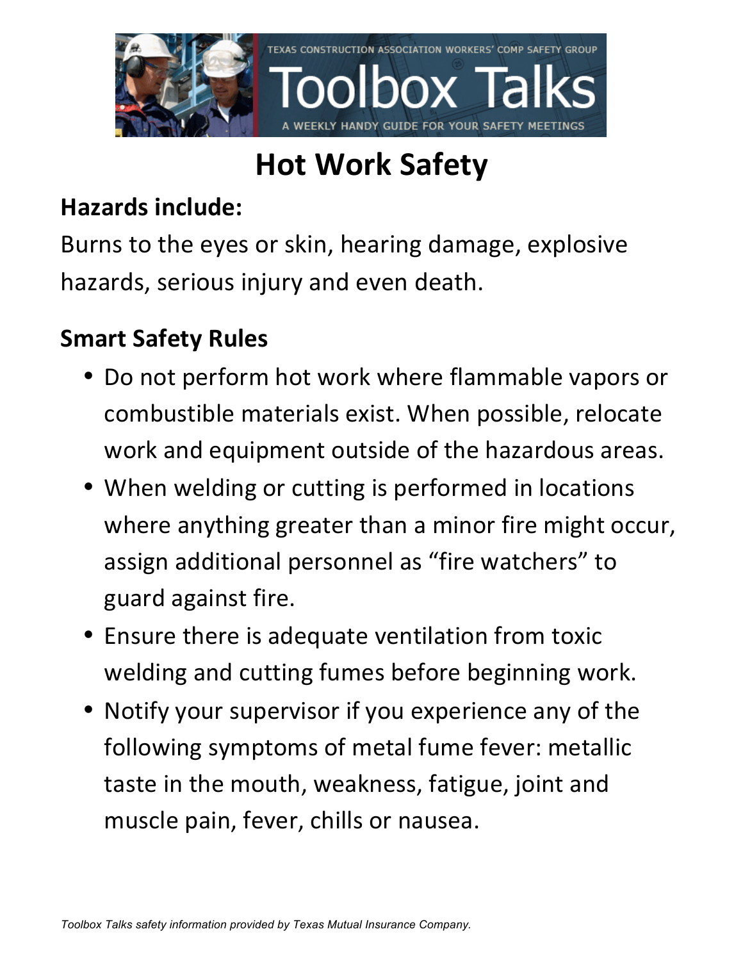

## **Hot Work Safety**

## **Hazards include:**

Burns to the eyes or skin, hearing damage, explosive hazards, serious injury and even death.

## **Smart Safety Rules**

- Do not perform hot work where flammable vapors or combustible materials exist. When possible, relocate work and equipment outside of the hazardous areas.
- When welding or cutting is performed in locations where anything greater than a minor fire might occur, assign additional personnel as "fire watchers" to guard against fire.
- Ensure there is adequate ventilation from toxic welding and cutting fumes before beginning work.
- Notify your supervisor if you experience any of the following symptoms of metal fume fever: metallic taste in the mouth, weakness, fatigue, joint and muscle pain, fever, chills or nausea.